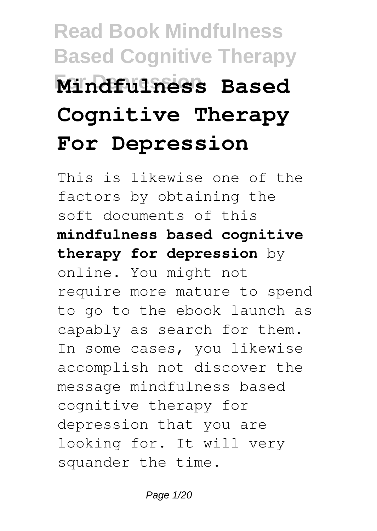# **Read Book Mindfulness Based Cognitive Therapy For Depression Mindfulness Based Cognitive Therapy For Depression**

This is likewise one of the factors by obtaining the soft documents of this **mindfulness based cognitive therapy for depression** by online. You might not require more mature to spend to go to the ebook launch as capably as search for them. In some cases, you likewise accomplish not discover the message mindfulness based cognitive therapy for depression that you are looking for. It will very squander the time.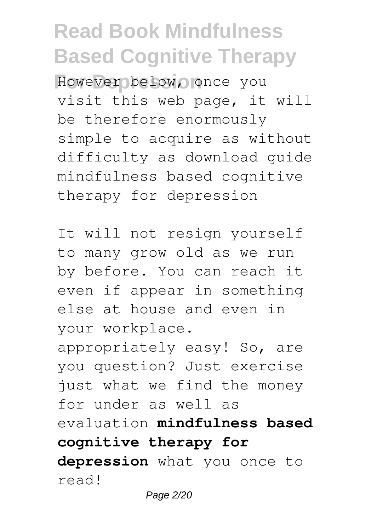However below, once you visit this web page, it will be therefore enormously simple to acquire as without difficulty as download guide mindfulness based cognitive therapy for depression

It will not resign yourself to many grow old as we run by before. You can reach it even if appear in something else at house and even in your workplace. appropriately easy! So, are you question? Just exercise just what we find the money for under as well as evaluation **mindfulness based**

**cognitive therapy for**

**depression** what you once to read!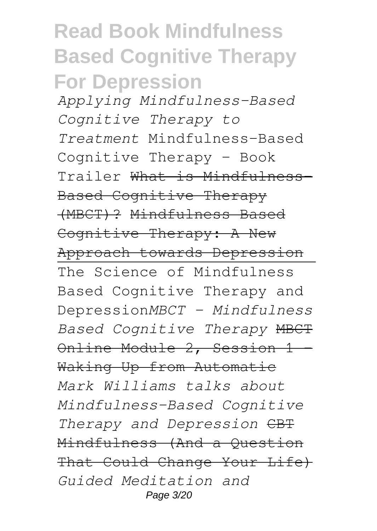#### **Read Book Mindfulness Based Cognitive Therapy For Depression**

*Applying Mindfulness-Based Cognitive Therapy to Treatment* Mindfulness-Based Cognitive Therapy – Book Trailer What is Mindfulness-Based Cognitive Therapy (MBCT)? Mindfulness Based Cognitive Therapy: A New Approach towards Depression The Science of Mindfulness Based Cognitive Therapy and Depression*MBCT - Mindfulness Based Cognitive Therapy* MBCT Online Module 2, Session 1 Waking Up from Automatic *Mark Williams talks about Mindfulness-Based Cognitive* Therapy and Depression CBT Mindfulness (And a Question That Could Change Your Life) *Guided Meditation and* Page 3/20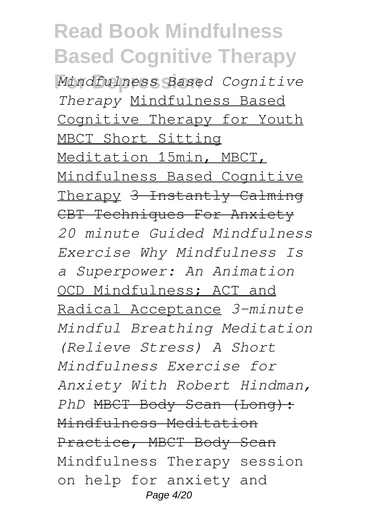**For Depression** *Mindfulness Based Cognitive Therapy* Mindfulness Based Cognitive Therapy for Youth MBCT Short Sitting Meditation 15min, MBCT, Mindfulness Based Cognitive Therapy 3 Instantly Calming CBT Techniques For Anxiety *20 minute Guided Mindfulness Exercise Why Mindfulness Is a Superpower: An Animation* OCD Mindfulness; ACT and Radical Acceptance *3-minute Mindful Breathing Meditation (Relieve Stress) A Short Mindfulness Exercise for Anxiety With Robert Hindman, PhD* MBCT Body Scan (Long): Mindfulness Meditation Practice, MBCT Body Scan Mindfulness Therapy session on help for anxiety and Page 4/20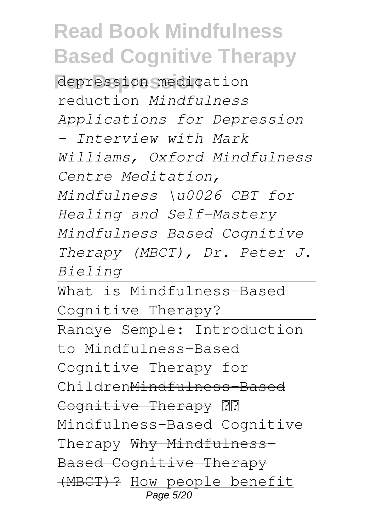**For Depression** depression medication reduction *Mindfulness Applications for Depression - Interview with Mark Williams, Oxford Mindfulness Centre Meditation, Mindfulness \u0026 CBT for Healing and Self-Mastery Mindfulness Based Cognitive Therapy (MBCT), Dr. Peter J. Bieling*

What is Mindfulness-Based Cognitive Therapy? Randye Semple: Introduction to Mindfulness-Based Cognitive Therapy for ChildrenMindfulness-Based Cognitive Therapy ?? Mindfulness-Based Cognitive Therapy Why Mindfulness-Based Cognitive Therapy (MBCT)? How people benefit Page 5/20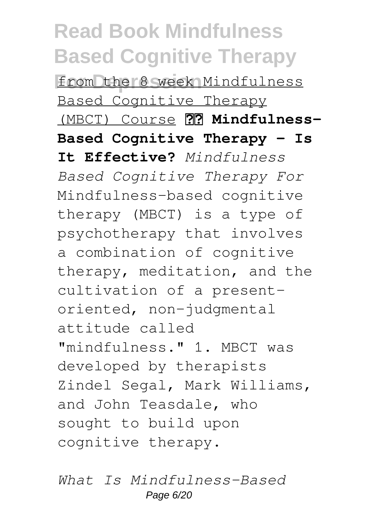**For Depression** from the 8 week Mindfulness Based Cognitive Therapy (MBCT) Course  **Mindfulness-Based Cognitive Therapy - Is It Effective?** *Mindfulness Based Cognitive Therapy For* Mindfulness-based cognitive therapy (MBCT) is a type of psychotherapy that involves a combination of cognitive therapy, meditation, and the cultivation of a presentoriented, non-judgmental attitude called "mindfulness." 1. MBCT was developed by therapists Zindel Segal, Mark Williams, and John Teasdale, who sought to build upon cognitive therapy.

*What Is Mindfulness-Based* Page 6/20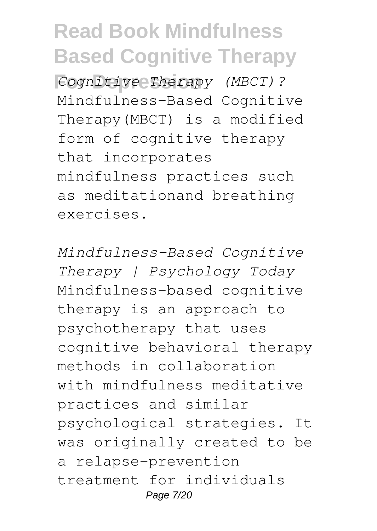**For Depression** *Cognitive Therapy (MBCT)?* Mindfulness-Based Cognitive Therapy(MBCT) is a modified form of cognitive therapy that incorporates mindfulness practices such as meditationand breathing exercises.

*Mindfulness-Based Cognitive Therapy | Psychology Today* Mindfulness-based cognitive therapy is an approach to psychotherapy that uses cognitive behavioral therapy methods in collaboration with mindfulness meditative practices and similar psychological strategies. It was originally created to be a relapse-prevention treatment for individuals Page 7/20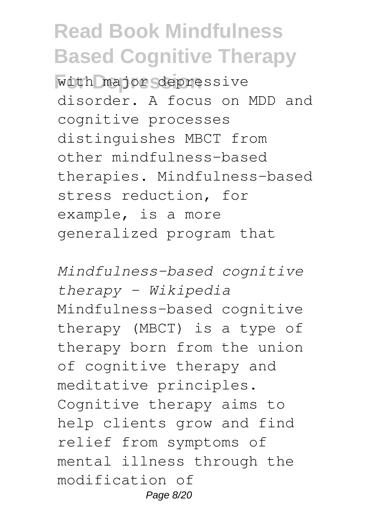**For Depression** with major depressive disorder. A focus on MDD and cognitive processes distinguishes MBCT from other mindfulness-based therapies. Mindfulness-based stress reduction, for example, is a more generalized program that

*Mindfulness-based cognitive therapy - Wikipedia* Mindfulness-based cognitive therapy (MBCT) is a type of therapy born from the union of cognitive therapy and meditative principles. Cognitive therapy aims to help clients grow and find relief from symptoms of mental illness through the modification of Page 8/20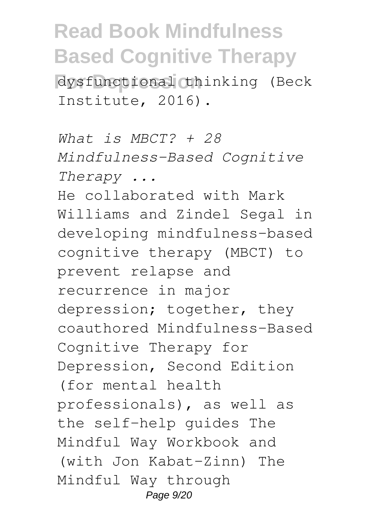**For Depression** dysfunctional thinking (Beck Institute, 2016).

*What is MBCT? + 28 Mindfulness-Based Cognitive Therapy ...* He collaborated with Mark Williams and Zindel Segal in developing mindfulness-based cognitive therapy (MBCT) to prevent relapse and recurrence in major depression; together, they coauthored Mindfulness-Based Cognitive Therapy for Depression, Second Edition (for mental health professionals), as well as the self-help guides The Mindful Way Workbook and (with Jon Kabat-Zinn) The Mindful Way through Page 9/20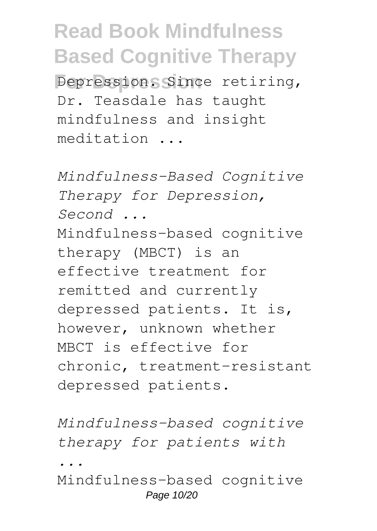**Depression** Since retiring, Dr. Teasdale has taught mindfulness and insight meditation ...

*Mindfulness-Based Cognitive Therapy for Depression, Second ...* Mindfulness-based cognitive therapy (MBCT) is an effective treatment for remitted and currently depressed patients. It is, however, unknown whether MBCT is effective for chronic, treatment-resistant depressed patients.

*Mindfulness-based cognitive therapy for patients with*

*...*

Mindfulness-based cognitive Page 10/20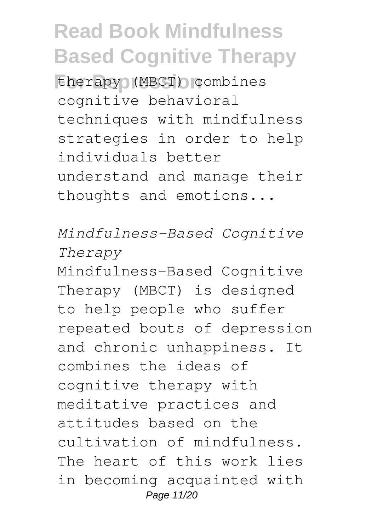**For Depression** therapy (MBCT) combines cognitive behavioral techniques with mindfulness strategies in order to help individuals better understand and manage their thoughts and emotions...

*Mindfulness–Based Cognitive Therapy*

Mindfulness-Based Cognitive Therapy (MBCT) is designed to help people who suffer repeated bouts of depression and chronic unhappiness. It combines the ideas of cognitive therapy with meditative practices and attitudes based on the cultivation of mindfulness. The heart of this work lies in becoming acquainted with Page 11/20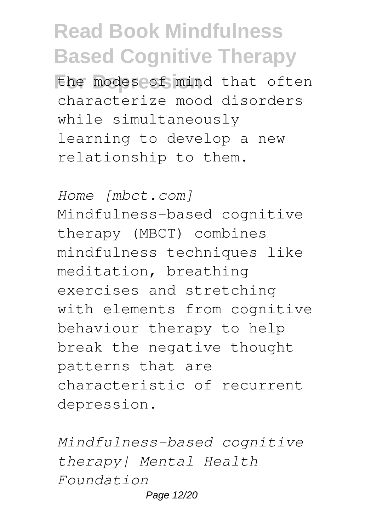the modes of mind that often characterize mood disorders while simultaneously learning to develop a new relationship to them.

*Home [mbct.com]* Mindfulness-based cognitive therapy (MBCT) combines mindfulness techniques like meditation, breathing exercises and stretching with elements from cognitive behaviour therapy to help break the negative thought patterns that are characteristic of recurrent depression.

*Mindfulness-based cognitive therapy| Mental Health Foundation* Page 12/20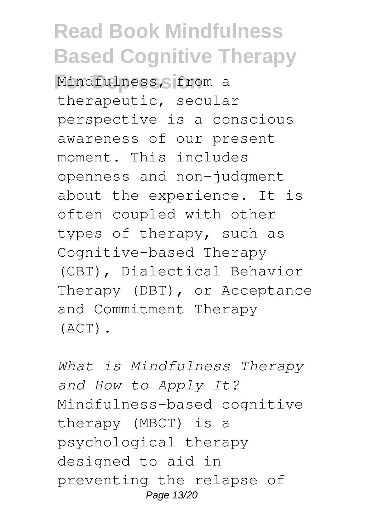**For Depression** Mindfulness, from a therapeutic, secular perspective is a conscious awareness of our present moment. This includes openness and non-judgment about the experience. It is often coupled with other types of therapy, such as Cognitive-based Therapy (CBT), Dialectical Behavior Therapy (DBT), or Acceptance and Commitment Therapy (ACT).

*What is Mindfulness Therapy and How to Apply It?* Mindfulness-based cognitive therapy (MBCT) is a psychological therapy designed to aid in preventing the relapse of Page 13/20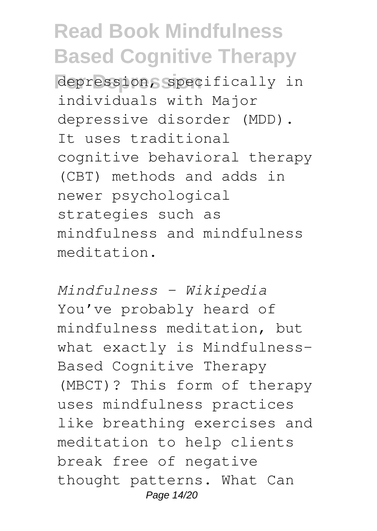**For Depression** depression, specifically in individuals with Major depressive disorder (MDD). It uses traditional cognitive behavioral therapy (CBT) methods and adds in newer psychological strategies such as mindfulness and mindfulness meditation.

*Mindfulness - Wikipedia* You've probably heard of mindfulness meditation, but what exactly is Mindfulness-Based Cognitive Therapy (MBCT)? This form of therapy uses mindfulness practices like breathing exercises and meditation to help clients break free of negative thought patterns. What Can Page 14/20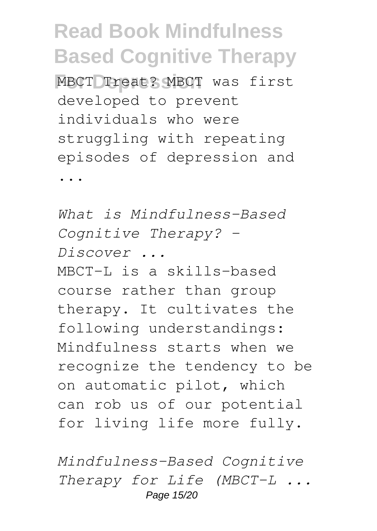**MBCT Treat? MBCT was first** developed to prevent individuals who were struggling with repeating episodes of depression and

...

*What is Mindfulness-Based Cognitive Therapy? - Discover ...* MBCT-L is a skills-based course rather than group therapy. It cultivates the following understandings: Mindfulness starts when we recognize the tendency to be on automatic pilot, which can rob us of our potential for living life more fully.

*Mindfulness-Based Cognitive Therapy for Life (MBCT-L ...* Page 15/20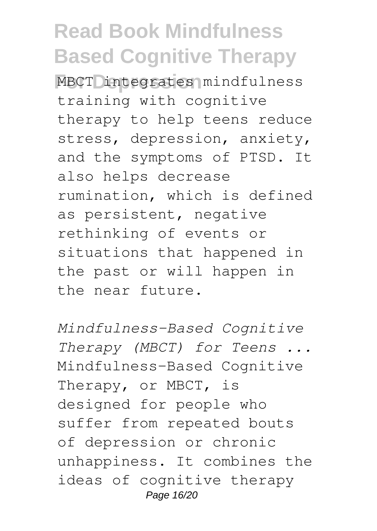**For Depression** MBCT integrates mindfulness training with cognitive therapy to help teens reduce stress, depression, anxiety, and the symptoms of PTSD. It also helps decrease rumination, which is defined as persistent, negative rethinking of events or situations that happened in the past or will happen in the near future.

*Mindfulness-Based Cognitive Therapy (MBCT) for Teens ...* Mindfulness-Based Cognitive Therapy, or MBCT, is designed for people who suffer from repeated bouts of depression or chronic unhappiness. It combines the ideas of cognitive therapy Page 16/20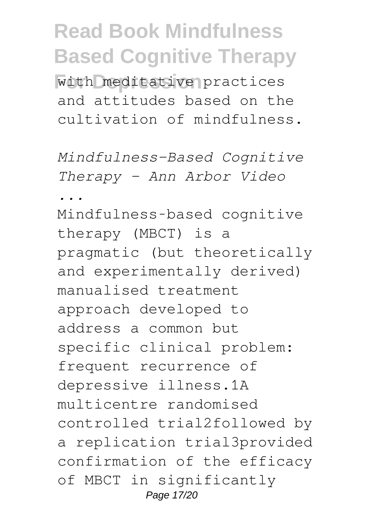**For Depression** with meditative practices and attitudes based on the cultivation of mindfulness.

*Mindfulness-Based Cognitive Therapy - Ann Arbor Video*

*...*

Mindfulness‐based cognitive therapy (MBCT) is a pragmatic (but theoretically and experimentally derived) manualised treatment approach developed to address a common but specific clinical problem: frequent recurrence of depressive illness.1A multicentre randomised controlled trial2followed by a replication trial3provided confirmation of the efficacy of MBCT in significantly Page 17/20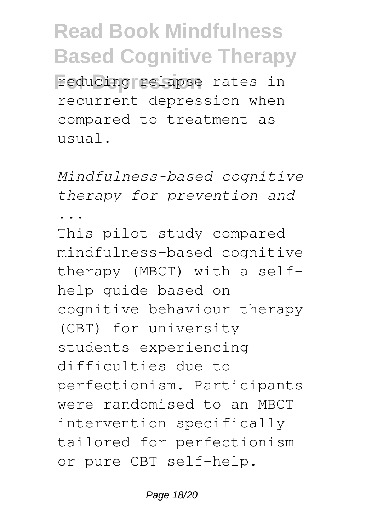**For Depression** reducing relapse rates in recurrent depression when compared to treatment as usual.

*Mindfulness‐based cognitive therapy for prevention and ...*

This pilot study compared mindfulness-based cognitive therapy (MBCT) with a selfhelp guide based on cognitive behaviour therapy (CBT) for university students experiencing difficulties due to perfectionism. Participants were randomised to an MBCT intervention specifically tailored for perfectionism or pure CBT self-help.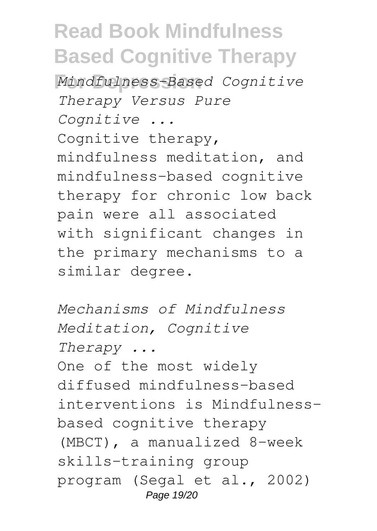**For Depression** *Mindfulness-Based Cognitive Therapy Versus Pure Cognitive ...* Cognitive therapy, mindfulness meditation, and mindfulness-based cognitive therapy for chronic low back pain were all associated with significant changes in the primary mechanisms to a similar degree.

*Mechanisms of Mindfulness Meditation, Cognitive Therapy ...* One of the most widely diffused mindfulness-based interventions is Mindfulnessbased cognitive therapy (MBCT), a manualized 8-week skills-training group program (Segal et al., 2002) Page 19/20